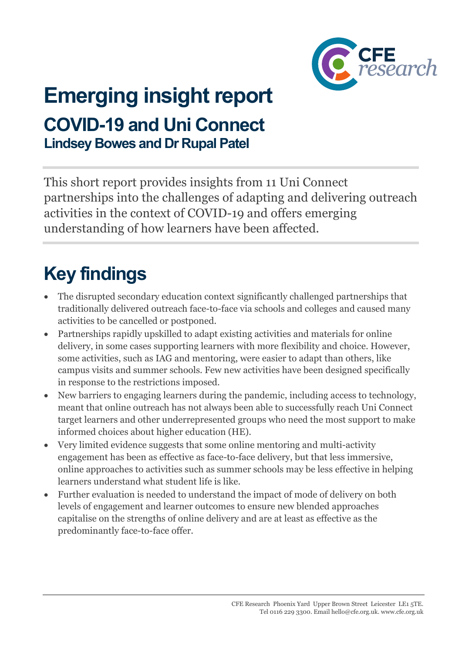

# **Emerging insight report COVID-19 and Uni Connect Lindsey Bowes and Dr Rupal Patel**

This short report provides insights from 11 Uni Connect partnerships into the challenges of adapting and delivering outreach activities in the context of COVID-19 and offers emerging understanding of how learners have been affected.

# **Key findings**

- The disrupted secondary education context significantly challenged partnerships that traditionally delivered outreach face-to-face via schools and colleges and caused many activities to be cancelled or postponed.
- Partnerships rapidly upskilled to adapt existing activities and materials for online delivery, in some cases supporting learners with more flexibility and choice. However, some activities, such as IAG and mentoring, were easier to adapt than others, like campus visits and summer schools. Few new activities have been designed specifically in response to the restrictions imposed.
- New barriers to engaging learners during the pandemic, including access to technology, meant that online outreach has not always been able to successfully reach Uni Connect target learners and other underrepresented groups who need the most support to make informed choices about higher education (HE).
- Very limited evidence suggests that some online mentoring and multi-activity engagement has been as effective as face-to-face delivery, but that less immersive, online approaches to activities such as summer schools may be less effective in helping learners understand what student life is like.
- Further evaluation is needed to understand the impact of mode of delivery on both levels of engagement and learner outcomes to ensure new blended approaches capitalise on the strengths of online delivery and are at least as effective as the predominantly face-to-face offer.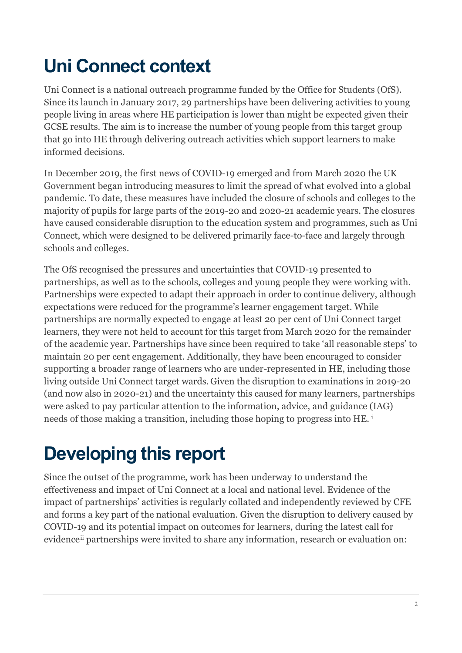# **Uni Connect context**

Uni Connect is a national outreach programme funded by the Office for Students (OfS). Since its launch in January 2017, 29 partnerships have been delivering activities to young people living in areas where HE participation is lower than might be expected given their GCSE results. The aim is to increase the number of young people from this target group that go into HE through delivering outreach activities which support learners to make informed decisions.

In December 2019, the first news of COVID-19 emerged and from March 2020 the UK Government began introducing measures to limit the spread of what evolved into a global pandemic. To date, these measures have included the closure of schools and colleges to the majority of pupils for large parts of the 2019-20 and 2020-21 academic years. The closures have caused considerable disruption to the education system and programmes, such as Uni Connect, which were designed to be delivered primarily face-to-face and largely through schools and colleges.

The OfS recognised the pressures and uncertainties that COVID-19 presented to partnerships, as well as to the schools, colleges and young people they were working with. Partnerships were expected to adapt their approach in order to continue delivery, although expectations were reduced for the programme's learner engagement target. While partnerships are normally expected to engage at least 20 per cent of Uni Connect target learners, they were not held to account for this target from March 2020 for the remainder of the academic year. Partnerships have since been required to take 'all reasonable steps' to maintain 20 per cent engagement. Additionally, they have been encouraged to consider supporting a broader range of learners who are under-represented in HE, including those living outside Uni Connect target wards. Given the disruption to examinations in 2019-20 (and now also in 2020-21) and the uncertainty this caused for many learners, partnerships were asked to pay particular attention to the information, advice, and guidance (IAG) needs of those making a transition, including those hoping to progress into HE. [i](#page-18-0)

# **Developing this report**

Since the outset of the programme, work has been underway to understand the effectiveness and impact of Uni Connect at a local and national level. Evidence of the impact of partnerships' activities is regularly collated and independently reviewed by CFE and forms a key part of the national evaluation. Given the disruption to delivery caused by COVID-19 and its potential impact on outcomes for learners, during the latest call for evidence[ii](#page-18-1) partnerships were invited to share any information, research or evaluation on: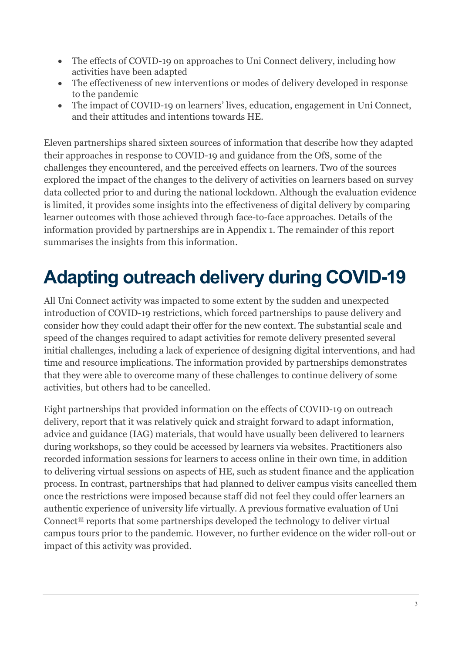- The effects of COVID-19 on approaches to Uni Connect delivery, including how activities have been adapted
- The effectiveness of new interventions or modes of delivery developed in response to the pandemic
- The impact of COVID-19 on learners' lives, education, engagement in Uni Connect, and their attitudes and intentions towards HE.

Eleven partnerships shared sixteen sources of information that describe how they adapted their approaches in response to COVID-19 and guidance from the OfS, some of the challenges they encountered, and the perceived effects on learners. Two of the sources explored the impact of the changes to the delivery of activities on learners based on survey data collected prior to and during the national lockdown. Although the evaluation evidence is limited, it provides some insights into the effectiveness of digital delivery by comparing learner outcomes with those achieved through face-to-face approaches. Details of the information provided by partnerships are in Appendix 1. The remainder of this report summarises the insights from this information.

# **Adapting outreach delivery during COVID-19**

All Uni Connect activity was impacted to some extent by the sudden and unexpected introduction of COVID-19 restrictions, which forced partnerships to pause delivery and consider how they could adapt their offer for the new context. The substantial scale and speed of the changes required to adapt activities for remote delivery presented several initial challenges, including a lack of experience of designing digital interventions, and had time and resource implications. The information provided by partnerships demonstrates that they were able to overcome many of these challenges to continue delivery of some activities, but others had to be cancelled.

Eight partnerships that provided information on the effects of COVID-19 on outreach delivery, report that it was relatively quick and straight forward to adapt information, advice and guidance (IAG) materials, that would have usually been delivered to learners during workshops, so they could be accessed by learners via websites. Practitioners also recorded information sessions for learners to access online in their own time, in addition to delivering virtual sessions on aspects of HE, such as student finance and the application process. In contrast, partnerships that had planned to deliver campus visits cancelled them once the restrictions were imposed because staff did not feel they could offer learners an authentic experience of university life virtually. A previous formative evaluation of Uni Connect[iii](#page-18-2) reports that some partnerships developed the technology to deliver virtual campus tours prior to the pandemic. However, no further evidence on the wider roll-out or impact of this activity was provided.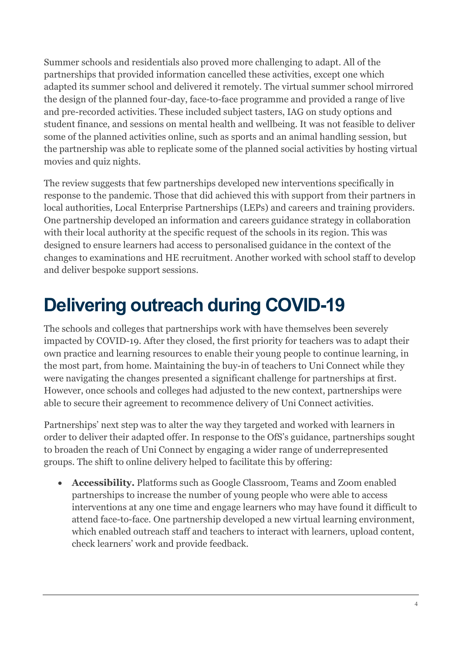Summer schools and residentials also proved more challenging to adapt. All of the partnerships that provided information cancelled these activities, except one which adapted its summer school and delivered it remotely. The virtual summer school mirrored the design of the planned four-day, face-to-face programme and provided a range of live and pre-recorded activities. These included subject tasters, IAG on study options and student finance, and sessions on mental health and wellbeing. It was not feasible to deliver some of the planned activities online, such as sports and an animal handling session, but the partnership was able to replicate some of the planned social activities by hosting virtual movies and quiz nights.

The review suggests that few partnerships developed new interventions specifically in response to the pandemic. Those that did achieved this with support from their partners in local authorities, Local Enterprise Partnerships (LEPs) and careers and training providers. One partnership developed an information and careers guidance strategy in collaboration with their local authority at the specific request of the schools in its region. This was designed to ensure learners had access to personalised guidance in the context of the changes to examinations and HE recruitment. Another worked with school staff to develop and deliver bespoke support sessions.

# **Delivering outreach during COVID-19**

The schools and colleges that partnerships work with have themselves been severely impacted by COVID-19. After they closed, the first priority for teachers was to adapt their own practice and learning resources to enable their young people to continue learning, in the most part, from home. Maintaining the buy-in of teachers to Uni Connect while they were navigating the changes presented a significant challenge for partnerships at first. However, once schools and colleges had adjusted to the new context, partnerships were able to secure their agreement to recommence delivery of Uni Connect activities.

Partnerships' next step was to alter the way they targeted and worked with learners in order to deliver their adapted offer. In response to the OfS's guidance, partnerships sought to broaden the reach of Uni Connect by engaging a wider range of underrepresented groups. The shift to online delivery helped to facilitate this by offering:

• **Accessibility.** Platforms such as Google Classroom, Teams and Zoom enabled partnerships to increase the number of young people who were able to access interventions at any one time and engage learners who may have found it difficult to attend face-to-face. One partnership developed a new virtual learning environment, which enabled outreach staff and teachers to interact with learners, upload content, check learners' work and provide feedback.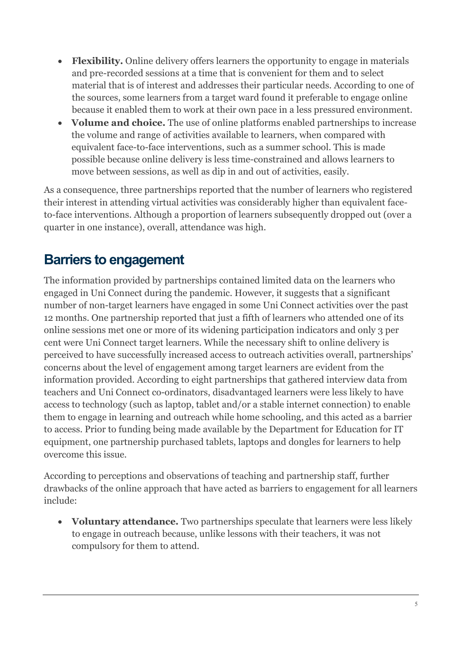- **Flexibility.** Online delivery offers learners the opportunity to engage in materials and pre-recorded sessions at a time that is convenient for them and to select material that is of interest and addresses their particular needs. According to one of the sources, some learners from a target ward found it preferable to engage online because it enabled them to work at their own pace in a less pressured environment.
- **Volume and choice.** The use of online platforms enabled partnerships to increase the volume and range of activities available to learners, when compared with equivalent face-to-face interventions, such as a summer school. This is made possible because online delivery is less time-constrained and allows learners to move between sessions, as well as dip in and out of activities, easily.

As a consequence, three partnerships reported that the number of learners who registered their interest in attending virtual activities was considerably higher than equivalent faceto-face interventions. Although a proportion of learners subsequently dropped out (over a quarter in one instance), overall, attendance was high.

#### **Barriers to engagement**

The information provided by partnerships contained limited data on the learners who engaged in Uni Connect during the pandemic. However, it suggests that a significant number of non-target learners have engaged in some Uni Connect activities over the past 12 months. One partnership reported that just a fifth of learners who attended one of its online sessions met one or more of its widening participation indicators and only 3 per cent were Uni Connect target learners. While the necessary shift to online delivery is perceived to have successfully increased access to outreach activities overall, partnerships' concerns about the level of engagement among target learners are evident from the information provided. According to eight partnerships that gathered interview data from teachers and Uni Connect co-ordinators, disadvantaged learners were less likely to have access to technology (such as laptop, tablet and/or a stable internet connection) to enable them to engage in learning and outreach while home schooling, and this acted as a barrier to access. Prior to funding being made available by the Department for Education for IT equipment, one partnership purchased tablets, laptops and dongles for learners to help overcome this issue.

According to perceptions and observations of teaching and partnership staff, further drawbacks of the online approach that have acted as barriers to engagement for all learners include:

• **Voluntary attendance.** Two partnerships speculate that learners were less likely to engage in outreach because, unlike lessons with their teachers, it was not compulsory for them to attend.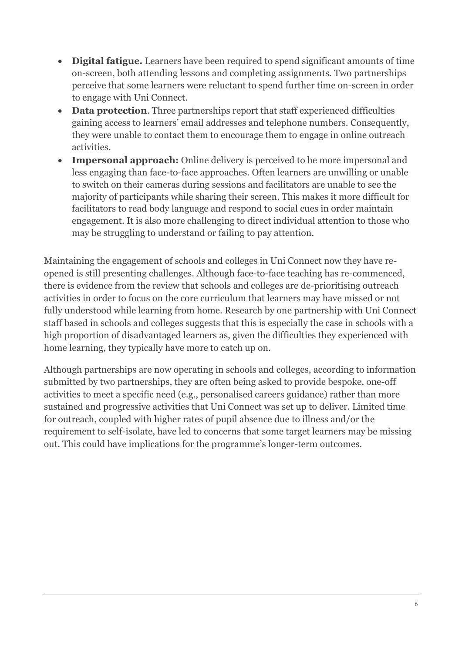- **Digital fatigue.** Learners have been required to spend significant amounts of time on-screen, both attending lessons and completing assignments. Two partnerships perceive that some learners were reluctant to spend further time on-screen in order to engage with Uni Connect.
- **Data protection**. Three partnerships report that staff experienced difficulties gaining access to learners' email addresses and telephone numbers. Consequently, they were unable to contact them to encourage them to engage in online outreach activities.
- **Impersonal approach:** Online delivery is perceived to be more impersonal and less engaging than face-to-face approaches. Often learners are unwilling or unable to switch on their cameras during sessions and facilitators are unable to see the majority of participants while sharing their screen. This makes it more difficult for facilitators to read body language and respond to social cues in order maintain engagement. It is also more challenging to direct individual attention to those who may be struggling to understand or failing to pay attention.

Maintaining the engagement of schools and colleges in Uni Connect now they have reopened is still presenting challenges. Although face-to-face teaching has re-commenced, there is evidence from the review that schools and colleges are de-prioritising outreach activities in order to focus on the core curriculum that learners may have missed or not fully understood while learning from home. Research by one partnership with Uni Connect staff based in schools and colleges suggests that this is especially the case in schools with a high proportion of disadvantaged learners as, given the difficulties they experienced with home learning, they typically have more to catch up on.

Although partnerships are now operating in schools and colleges, according to information submitted by two partnerships, they are often being asked to provide bespoke, one-off activities to meet a specific need (e.g., personalised careers guidance) rather than more sustained and progressive activities that Uni Connect was set up to deliver. Limited time for outreach, coupled with higher rates of pupil absence due to illness and/or the requirement to self-isolate, have led to concerns that some target learners may be missing out. This could have implications for the programme's longer-term outcomes.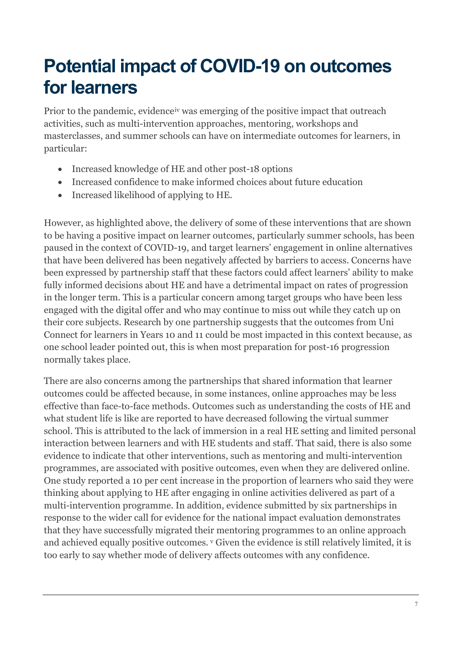#### **Potential impact of COVID-19 on outcomes for learners**

Prior to the pandemic, evidence[iv](#page-18-3) was emerging of the positive impact that outreach activities, such as multi-intervention approaches, mentoring, workshops and masterclasses, and summer schools can have on intermediate outcomes for learners, in particular:

- Increased knowledge of HE and other post-18 options
- Increased confidence to make informed choices about future education
- Increased likelihood of applying to HE.

However, as highlighted above, the delivery of some of these interventions that are shown to be having a positive impact on learner outcomes, particularly summer schools, has been paused in the context of COVID-19, and target learners' engagement in online alternatives that have been delivered has been negatively affected by barriers to access. Concerns have been expressed by partnership staff that these factors could affect learners' ability to make fully informed decisions about HE and have a detrimental impact on rates of progression in the longer term. This is a particular concern among target groups who have been less engaged with the digital offer and who may continue to miss out while they catch up on their core subjects. Research by one partnership suggests that the outcomes from Uni Connect for learners in Years 10 and 11 could be most impacted in this context because, as one school leader pointed out, this is when most preparation for post-16 progression normally takes place.

There are also concerns among the partnerships that shared information that learner outcomes could be affected because, in some instances, online approaches may be less effective than face-to-face methods. Outcomes such as understanding the costs of HE and what student life is like are reported to have decreased following the virtual summer school. This is attributed to the lack of immersion in a real HE setting and limited personal interaction between learners and with HE students and staff. That said, there is also some evidence to indicate that other interventions, such as mentoring and multi-intervention programmes, are associated with positive outcomes, even when they are delivered online. One study reported a 10 per cent increase in the proportion of learners who said they were thinking about applying to HE after engaging in online activities delivered as part of a multi-intervention programme. In addition, evidence submitted by six partnerships in response to the wider call for evidence for the national impact evaluation demonstrates that they have successfully migrated their mentoring programmes to an online approach and achieved equally positive outcomes. [v](#page-18-4) Given the evidence is still relatively limited, it is too early to say whether mode of delivery affects outcomes with any confidence.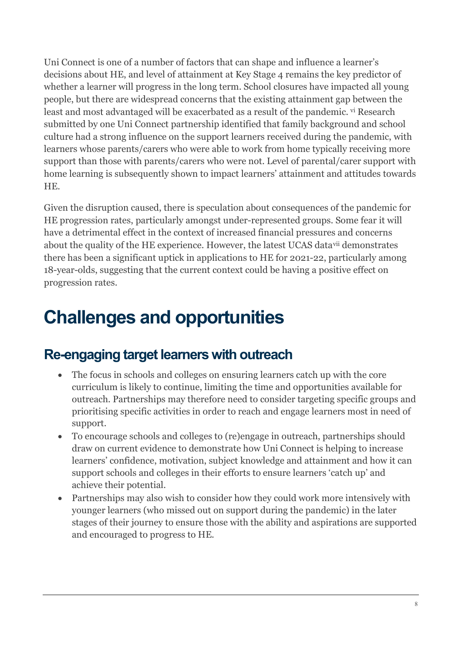Uni Connect is one of a number of factors that can shape and influence a learner's decisions about HE, and level of attainment at Key Stage 4 remains the key predictor of whether a learner will progress in the long term. School closures have impacted all young people, but there are widespread concerns that the existing attainment gap between the least and most advantaged will be exacerbated as a result of the pandemic. [vi](#page-18-5) Research submitted by one Uni Connect partnership identified that family background and school culture had a strong influence on the support learners received during the pandemic, with learners whose parents/carers who were able to work from home typically receiving more support than those with parents/carers who were not. Level of parental/carer support with home learning is subsequently shown to impact learners' attainment and attitudes towards HE.

Given the disruption caused, there is speculation about consequences of the pandemic for HE progression rates, particularly amongst under-represented groups. Some fear it will have a detrimental effect in the context of increased financial pressures and concerns about the quality of the HE experience. However, the latest UCAS data[vii](#page-18-6) demonstrates there has been a significant uptick in applications to HE for 2021-22, particularly among 18-year-olds, suggesting that the current context could be having a positive effect on progression rates.

#### **Challenges and opportunities**

#### **Re-engaging target learners with outreach**

- The focus in schools and colleges on ensuring learners catch up with the core curriculum is likely to continue, limiting the time and opportunities available for outreach. Partnerships may therefore need to consider targeting specific groups and prioritising specific activities in order to reach and engage learners most in need of support.
- To encourage schools and colleges to (re)engage in outreach, partnerships should draw on current evidence to demonstrate how Uni Connect is helping to increase learners' confidence, motivation, subject knowledge and attainment and how it can support schools and colleges in their efforts to ensure learners 'catch up' and achieve their potential.
- Partnerships may also wish to consider how they could work more intensively with younger learners (who missed out on support during the pandemic) in the later stages of their journey to ensure those with the ability and aspirations are supported and encouraged to progress to HE.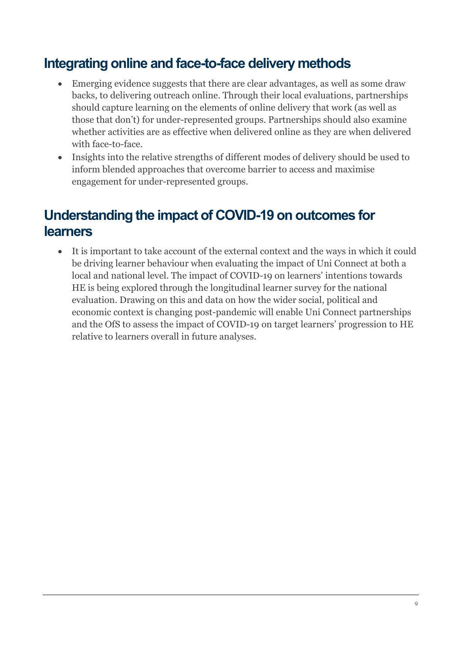#### **Integrating online and face-to-face delivery methods**

- Emerging evidence suggests that there are clear advantages, as well as some draw backs, to delivering outreach online. Through their local evaluations, partnerships should capture learning on the elements of online delivery that work (as well as those that don't) for under-represented groups. Partnerships should also examine whether activities are as effective when delivered online as they are when delivered with face-to-face.
- Insights into the relative strengths of different modes of delivery should be used to inform blended approaches that overcome barrier to access and maximise engagement for under-represented groups.

#### **Understanding the impact of COVID-19 on outcomes for learners**

• It is important to take account of the external context and the ways in which it could be driving learner behaviour when evaluating the impact of Uni Connect at both a local and national level. The impact of COVID-19 on learners' intentions towards HE is being explored through the longitudinal learner survey for the national evaluation. Drawing on this and data on how the wider social, political and economic context is changing post-pandemic will enable Uni Connect partnerships and the OfS to assess the impact of COVID-19 on target learners' progression to HE relative to learners overall in future analyses.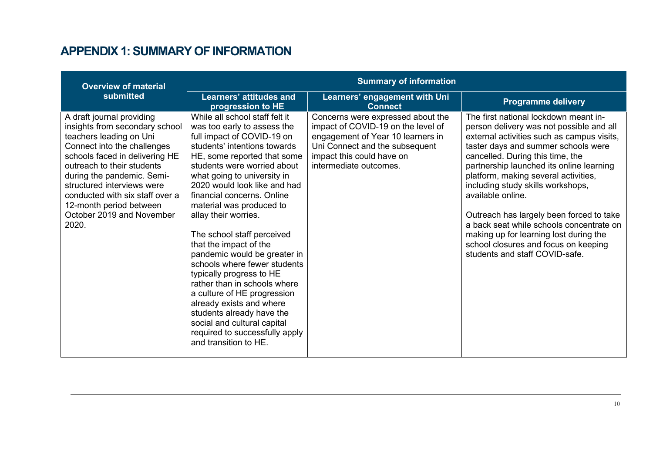#### **APPENDIX 1: SUMMARY OF INFORMATION**

| <b>Overview of material</b>                                                                                                                                                                                                                                                                                                                           | <b>Summary of information</b>                                                                                                                                                                                                                                                                                                                                                                                                                                                                                                                                                                                                                                                                                    |                                                                                                                                                                                                       |                                                                                                                                                                                                                                                                                                                                                                                                                                                                                                                                                                      |
|-------------------------------------------------------------------------------------------------------------------------------------------------------------------------------------------------------------------------------------------------------------------------------------------------------------------------------------------------------|------------------------------------------------------------------------------------------------------------------------------------------------------------------------------------------------------------------------------------------------------------------------------------------------------------------------------------------------------------------------------------------------------------------------------------------------------------------------------------------------------------------------------------------------------------------------------------------------------------------------------------------------------------------------------------------------------------------|-------------------------------------------------------------------------------------------------------------------------------------------------------------------------------------------------------|----------------------------------------------------------------------------------------------------------------------------------------------------------------------------------------------------------------------------------------------------------------------------------------------------------------------------------------------------------------------------------------------------------------------------------------------------------------------------------------------------------------------------------------------------------------------|
| submitted                                                                                                                                                                                                                                                                                                                                             | <b>Learners' attitudes and</b><br>progression to HE                                                                                                                                                                                                                                                                                                                                                                                                                                                                                                                                                                                                                                                              | Learners' engagement with Uni<br><b>Connect</b>                                                                                                                                                       | <b>Programme delivery</b>                                                                                                                                                                                                                                                                                                                                                                                                                                                                                                                                            |
| A draft journal providing<br>insights from secondary school<br>teachers leading on Uni<br>Connect into the challenges<br>schools faced in delivering HE<br>outreach to their students<br>during the pandemic. Semi-<br>structured interviews were<br>conducted with six staff over a<br>12-month period between<br>October 2019 and November<br>2020. | While all school staff felt it<br>was too early to assess the<br>full impact of COVID-19 on<br>students' intentions towards<br>HE, some reported that some<br>students were worried about<br>what going to university in<br>2020 would look like and had<br>financial concerns. Online<br>material was produced to<br>allay their worries.<br>The school staff perceived<br>that the impact of the<br>pandemic would be greater in<br>schools where fewer students<br>typically progress to HE<br>rather than in schools where<br>a culture of HE progression<br>already exists and where<br>students already have the<br>social and cultural capital<br>required to successfully apply<br>and transition to HE. | Concerns were expressed about the<br>impact of COVID-19 on the level of<br>engagement of Year 10 learners in<br>Uni Connect and the subsequent<br>impact this could have on<br>intermediate outcomes. | The first national lockdown meant in-<br>person delivery was not possible and all<br>external activities such as campus visits,<br>taster days and summer schools were<br>cancelled. During this time, the<br>partnership launched its online learning<br>platform, making several activities,<br>including study skills workshops,<br>available online.<br>Outreach has largely been forced to take<br>a back seat while schools concentrate on<br>making up for learning lost during the<br>school closures and focus on keeping<br>students and staff COVID-safe. |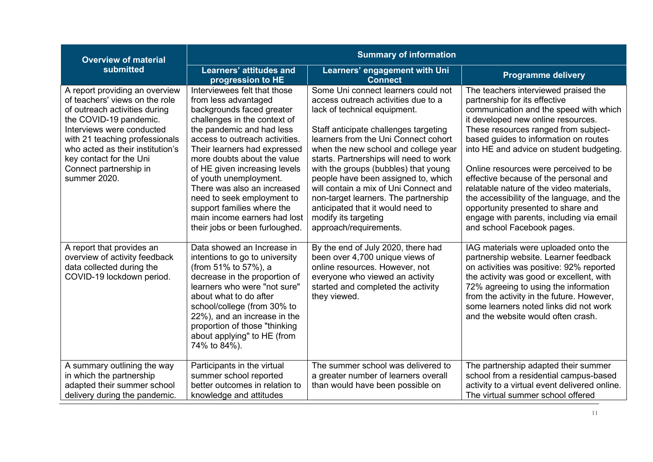| <b>Overview of material</b>                                                                                                                                                                                                                                                                         | <b>Summary of information</b>                                                                                                                                                                                                                                                                                                                                                                                                                                           |                                                                                                                                                                                                                                                                                                                                                                                                                                                                                                                                      |                                                                                                                                                                                                                                                                                                                                                                                                                                                                                                                                                                                |  |
|-----------------------------------------------------------------------------------------------------------------------------------------------------------------------------------------------------------------------------------------------------------------------------------------------------|-------------------------------------------------------------------------------------------------------------------------------------------------------------------------------------------------------------------------------------------------------------------------------------------------------------------------------------------------------------------------------------------------------------------------------------------------------------------------|--------------------------------------------------------------------------------------------------------------------------------------------------------------------------------------------------------------------------------------------------------------------------------------------------------------------------------------------------------------------------------------------------------------------------------------------------------------------------------------------------------------------------------------|--------------------------------------------------------------------------------------------------------------------------------------------------------------------------------------------------------------------------------------------------------------------------------------------------------------------------------------------------------------------------------------------------------------------------------------------------------------------------------------------------------------------------------------------------------------------------------|--|
| submitted                                                                                                                                                                                                                                                                                           | Learners' attitudes and<br>progression to HE                                                                                                                                                                                                                                                                                                                                                                                                                            | Learners' engagement with Uni<br><b>Connect</b>                                                                                                                                                                                                                                                                                                                                                                                                                                                                                      | <b>Programme delivery</b>                                                                                                                                                                                                                                                                                                                                                                                                                                                                                                                                                      |  |
| A report providing an overview<br>of teachers' views on the role<br>of outreach activities during<br>the COVID-19 pandemic.<br>Interviews were conducted<br>with 21 teaching professionals<br>who acted as their institution's<br>key contact for the Uni<br>Connect partnership in<br>summer 2020. | Interviewees felt that those<br>from less advantaged<br>backgrounds faced greater<br>challenges in the context of<br>the pandemic and had less<br>access to outreach activities.<br>Their learners had expressed<br>more doubts about the value<br>of HE given increasing levels<br>of youth unemployment.<br>There was also an increased<br>need to seek employment to<br>support families where the<br>main income earners had lost<br>their jobs or been furloughed. | Some Uni connect learners could not<br>access outreach activities due to a<br>lack of technical equipment.<br>Staff anticipate challenges targeting<br>learners from the Uni Connect cohort<br>when the new school and college year<br>starts. Partnerships will need to work<br>with the groups (bubbles) that young<br>people have been assigned to, which<br>will contain a mix of Uni Connect and<br>non-target learners. The partnership<br>anticipated that it would need to<br>modify its targeting<br>approach/requirements. | The teachers interviewed praised the<br>partnership for its effective<br>communication and the speed with which<br>it developed new online resources.<br>These resources ranged from subject-<br>based guides to information on routes<br>into HE and advice on student budgeting.<br>Online resources were perceived to be<br>effective because of the personal and<br>relatable nature of the video materials,<br>the accessibility of the language, and the<br>opportunity presented to share and<br>engage with parents, including via email<br>and school Facebook pages. |  |
| A report that provides an<br>overview of activity feedback<br>data collected during the<br>COVID-19 lockdown period.                                                                                                                                                                                | Data showed an Increase in<br>intentions to go to university<br>(from 51% to 57%), a<br>decrease in the proportion of<br>learners who were "not sure"<br>about what to do after<br>school/college (from 30% to<br>22%), and an increase in the<br>proportion of those "thinking<br>about applying" to HE (from<br>74% to 84%).                                                                                                                                          | By the end of July 2020, there had<br>been over 4,700 unique views of<br>online resources. However, not<br>everyone who viewed an activity<br>started and completed the activity<br>they viewed.                                                                                                                                                                                                                                                                                                                                     | IAG materials were uploaded onto the<br>partnership website. Learner feedback<br>on activities was positive: 92% reported<br>the activity was good or excellent, with<br>72% agreeing to using the information<br>from the activity in the future. However,<br>some learners noted links did not work<br>and the website would often crash.                                                                                                                                                                                                                                    |  |
| A summary outlining the way<br>in which the partnership<br>adapted their summer school<br>delivery during the pandemic.                                                                                                                                                                             | Participants in the virtual<br>summer school reported<br>better outcomes in relation to<br>knowledge and attitudes                                                                                                                                                                                                                                                                                                                                                      | The summer school was delivered to<br>a greater number of learners overall<br>than would have been possible on                                                                                                                                                                                                                                                                                                                                                                                                                       | The partnership adapted their summer<br>school from a residential campus-based<br>activity to a virtual event delivered online.<br>The virtual summer school offered                                                                                                                                                                                                                                                                                                                                                                                                           |  |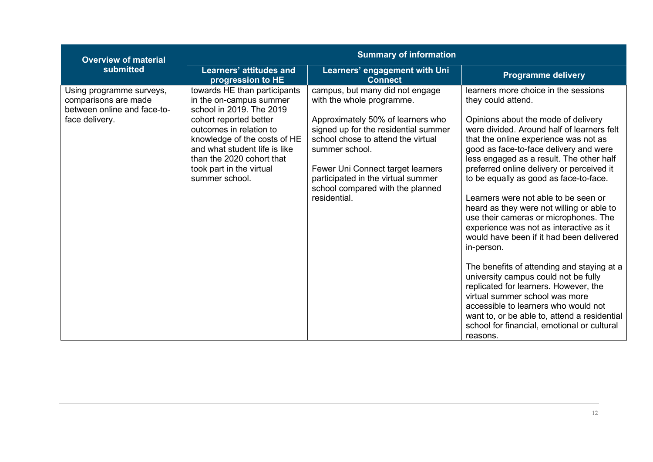| <b>Overview of material</b>                                                                       | <b>Summary of information</b>                                                                                                                                                                                                                                                        |                                                                                                                                                                                                                                                                                                                                  |                                                                                                                                                                                                                                                                                                                                                                                                                                                                                                                                                                                                                                                                                                                                                                                                                                                                                                                              |  |
|---------------------------------------------------------------------------------------------------|--------------------------------------------------------------------------------------------------------------------------------------------------------------------------------------------------------------------------------------------------------------------------------------|----------------------------------------------------------------------------------------------------------------------------------------------------------------------------------------------------------------------------------------------------------------------------------------------------------------------------------|------------------------------------------------------------------------------------------------------------------------------------------------------------------------------------------------------------------------------------------------------------------------------------------------------------------------------------------------------------------------------------------------------------------------------------------------------------------------------------------------------------------------------------------------------------------------------------------------------------------------------------------------------------------------------------------------------------------------------------------------------------------------------------------------------------------------------------------------------------------------------------------------------------------------------|--|
| submitted                                                                                         | Learners' attitudes and<br>progression to HE                                                                                                                                                                                                                                         | Learners' engagement with Uni<br><b>Connect</b>                                                                                                                                                                                                                                                                                  | <b>Programme delivery</b>                                                                                                                                                                                                                                                                                                                                                                                                                                                                                                                                                                                                                                                                                                                                                                                                                                                                                                    |  |
| Using programme surveys,<br>comparisons are made<br>between online and face-to-<br>face delivery. | towards HE than participants<br>in the on-campus summer<br>school in 2019. The 2019<br>cohort reported better<br>outcomes in relation to<br>knowledge of the costs of HE<br>and what student life is like<br>than the 2020 cohort that<br>took part in the virtual<br>summer school. | campus, but many did not engage<br>with the whole programme.<br>Approximately 50% of learners who<br>signed up for the residential summer<br>school chose to attend the virtual<br>summer school.<br>Fewer Uni Connect target learners<br>participated in the virtual summer<br>school compared with the planned<br>residential. | learners more choice in the sessions<br>they could attend.<br>Opinions about the mode of delivery<br>were divided. Around half of learners felt<br>that the online experience was not as<br>good as face-to-face delivery and were<br>less engaged as a result. The other half<br>preferred online delivery or perceived it<br>to be equally as good as face-to-face.<br>Learners were not able to be seen or<br>heard as they were not willing or able to<br>use their cameras or microphones. The<br>experience was not as interactive as it<br>would have been if it had been delivered<br>in-person.<br>The benefits of attending and staying at a<br>university campus could not be fully<br>replicated for learners. However, the<br>virtual summer school was more<br>accessible to learners who would not<br>want to, or be able to, attend a residential<br>school for financial, emotional or cultural<br>reasons. |  |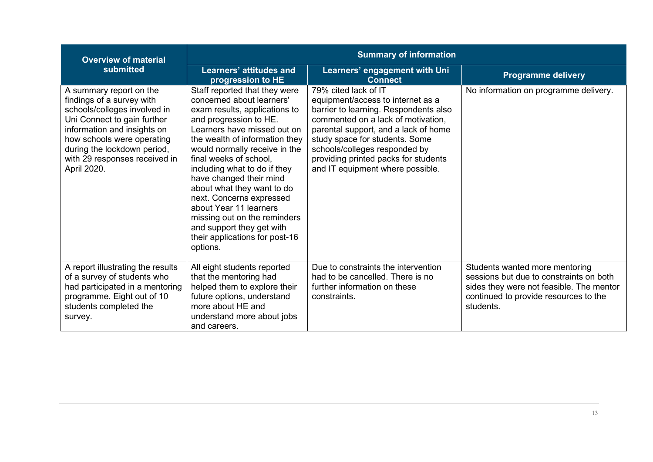| <b>Overview of material</b>                                                                                                                                                                                                                                     | <b>Summary of information</b>                                                                                                                                                                                                                                                                                                                                                                                                                                                                               |                                                                                                                                                                                                                                                                                                                                 |                                                                                                                                                                             |
|-----------------------------------------------------------------------------------------------------------------------------------------------------------------------------------------------------------------------------------------------------------------|-------------------------------------------------------------------------------------------------------------------------------------------------------------------------------------------------------------------------------------------------------------------------------------------------------------------------------------------------------------------------------------------------------------------------------------------------------------------------------------------------------------|---------------------------------------------------------------------------------------------------------------------------------------------------------------------------------------------------------------------------------------------------------------------------------------------------------------------------------|-----------------------------------------------------------------------------------------------------------------------------------------------------------------------------|
| submitted                                                                                                                                                                                                                                                       | Learners' attitudes and<br>progression to HE                                                                                                                                                                                                                                                                                                                                                                                                                                                                | Learners' engagement with Uni<br><b>Connect</b>                                                                                                                                                                                                                                                                                 | <b>Programme delivery</b>                                                                                                                                                   |
| A summary report on the<br>findings of a survey with<br>schools/colleges involved in<br>Uni Connect to gain further<br>information and insights on<br>how schools were operating<br>during the lockdown period,<br>with 29 responses received in<br>April 2020. | Staff reported that they were<br>concerned about learners'<br>exam results, applications to<br>and progression to HE.<br>Learners have missed out on<br>the wealth of information they<br>would normally receive in the<br>final weeks of school,<br>including what to do if they<br>have changed their mind<br>about what they want to do<br>next. Concerns expressed<br>about Year 11 learners<br>missing out on the reminders<br>and support they get with<br>their applications for post-16<br>options. | 79% cited lack of IT<br>equipment/access to internet as a<br>barrier to learning. Respondents also<br>commented on a lack of motivation,<br>parental support, and a lack of home<br>study space for students. Some<br>schools/colleges responded by<br>providing printed packs for students<br>and IT equipment where possible. | No information on programme delivery.                                                                                                                                       |
| A report illustrating the results<br>of a survey of students who<br>had participated in a mentoring<br>programme. Eight out of 10<br>students completed the<br>survey.                                                                                          | All eight students reported<br>that the mentoring had<br>helped them to explore their<br>future options, understand<br>more about HE and<br>understand more about jobs<br>and careers.                                                                                                                                                                                                                                                                                                                      | Due to constraints the intervention<br>had to be cancelled. There is no<br>further information on these<br>constraints.                                                                                                                                                                                                         | Students wanted more mentoring<br>sessions but due to constraints on both<br>sides they were not feasible. The mentor<br>continued to provide resources to the<br>students. |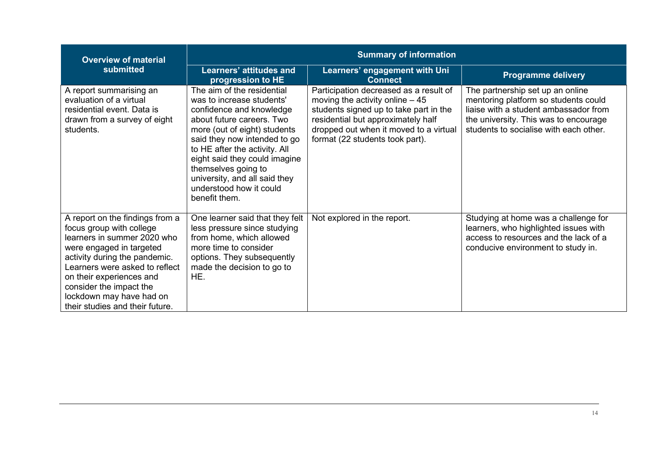| <b>Overview of material</b>                                                                                                                                                                                                                                                                                     | <b>Summary of information</b>                                                                                                                                                                                                                                                                                                                          |                                                                                                                                                                                                                                         |                                                                                                                                                                                                      |
|-----------------------------------------------------------------------------------------------------------------------------------------------------------------------------------------------------------------------------------------------------------------------------------------------------------------|--------------------------------------------------------------------------------------------------------------------------------------------------------------------------------------------------------------------------------------------------------------------------------------------------------------------------------------------------------|-----------------------------------------------------------------------------------------------------------------------------------------------------------------------------------------------------------------------------------------|------------------------------------------------------------------------------------------------------------------------------------------------------------------------------------------------------|
| submitted                                                                                                                                                                                                                                                                                                       | <b>Learners' attitudes and</b><br>progression to HE                                                                                                                                                                                                                                                                                                    | Learners' engagement with Uni<br><b>Connect</b>                                                                                                                                                                                         | <b>Programme delivery</b>                                                                                                                                                                            |
| A report summarising an<br>evaluation of a virtual<br>residential event. Data is<br>drawn from a survey of eight<br>students.                                                                                                                                                                                   | The aim of the residential<br>was to increase students'<br>confidence and knowledge<br>about future careers. Two<br>more (out of eight) students<br>said they now intended to go<br>to HE after the activity. All<br>eight said they could imagine<br>themselves going to<br>university, and all said they<br>understood how it could<br>benefit them. | Participation decreased as a result of<br>moving the activity online $-45$<br>students signed up to take part in the<br>residential but approximately half<br>dropped out when it moved to a virtual<br>format (22 students took part). | The partnership set up an online<br>mentoring platform so students could<br>liaise with a student ambassador from<br>the university. This was to encourage<br>students to socialise with each other. |
| A report on the findings from a<br>focus group with college<br>learners in summer 2020 who<br>were engaged in targeted<br>activity during the pandemic.<br>Learners were asked to reflect<br>on their experiences and<br>consider the impact the<br>lockdown may have had on<br>their studies and their future. | One learner said that they felt<br>less pressure since studying<br>from home, which allowed<br>more time to consider<br>options. They subsequently<br>made the decision to go to<br>HE.                                                                                                                                                                | Not explored in the report.                                                                                                                                                                                                             | Studying at home was a challenge for<br>learners, who highlighted issues with<br>access to resources and the lack of a<br>conducive environment to study in.                                         |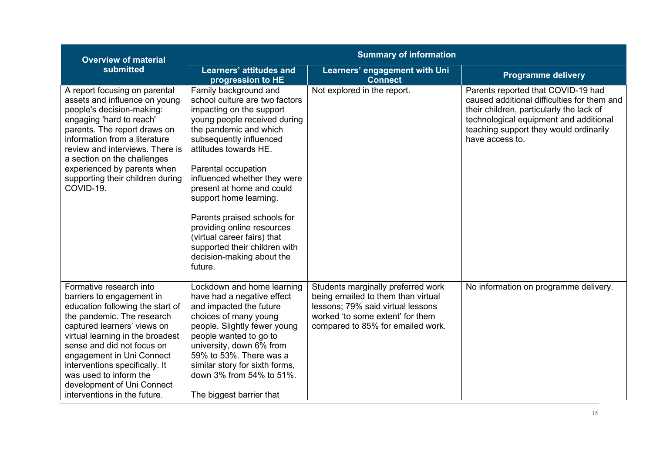| <b>Overview of material</b>                                                                                                                                                                                                                                                                                                                                                    | <b>Summary of information</b>                                                                                                                                                                                                                                                                                                                                                                                                                                                        |                                                                                                                                                                                        |                                                                                                                                                                                                                                      |
|--------------------------------------------------------------------------------------------------------------------------------------------------------------------------------------------------------------------------------------------------------------------------------------------------------------------------------------------------------------------------------|--------------------------------------------------------------------------------------------------------------------------------------------------------------------------------------------------------------------------------------------------------------------------------------------------------------------------------------------------------------------------------------------------------------------------------------------------------------------------------------|----------------------------------------------------------------------------------------------------------------------------------------------------------------------------------------|--------------------------------------------------------------------------------------------------------------------------------------------------------------------------------------------------------------------------------------|
| submitted                                                                                                                                                                                                                                                                                                                                                                      | <b>Learners' attitudes and</b><br>progression to HE                                                                                                                                                                                                                                                                                                                                                                                                                                  | Learners' engagement with Uni<br><b>Connect</b>                                                                                                                                        | <b>Programme delivery</b>                                                                                                                                                                                                            |
| A report focusing on parental<br>assets and influence on young<br>people's decision-making:<br>engaging 'hard to reach'<br>parents. The report draws on<br>information from a literature<br>review and interviews. There is<br>a section on the challenges<br>experienced by parents when<br>supporting their children during<br>COVID-19.                                     | Family background and<br>school culture are two factors<br>impacting on the support<br>young people received during<br>the pandemic and which<br>subsequently influenced<br>attitudes towards HE.<br>Parental occupation<br>influenced whether they were<br>present at home and could<br>support home learning.<br>Parents praised schools for<br>providing online resources<br>(virtual career fairs) that<br>supported their children with<br>decision-making about the<br>future. | Not explored in the report.                                                                                                                                                            | Parents reported that COVID-19 had<br>caused additional difficulties for them and<br>their children, particularly the lack of<br>technological equipment and additional<br>teaching support they would ordinarily<br>have access to. |
| Formative research into<br>barriers to engagement in<br>education following the start of<br>the pandemic. The research<br>captured learners' views on<br>virtual learning in the broadest<br>sense and did not focus on<br>engagement in Uni Connect<br>interventions specifically. It<br>was used to inform the<br>development of Uni Connect<br>interventions in the future. | Lockdown and home learning<br>have had a negative effect<br>and impacted the future<br>choices of many young<br>people. Slightly fewer young<br>people wanted to go to<br>university, down 6% from<br>59% to 53%. There was a<br>similar story for sixth forms,<br>down 3% from 54% to 51%.<br>The biggest barrier that                                                                                                                                                              | Students marginally preferred work<br>being emailed to them than virtual<br>lessons; 79% said virtual lessons<br>worked 'to some extent' for them<br>compared to 85% for emailed work. | No information on programme delivery.                                                                                                                                                                                                |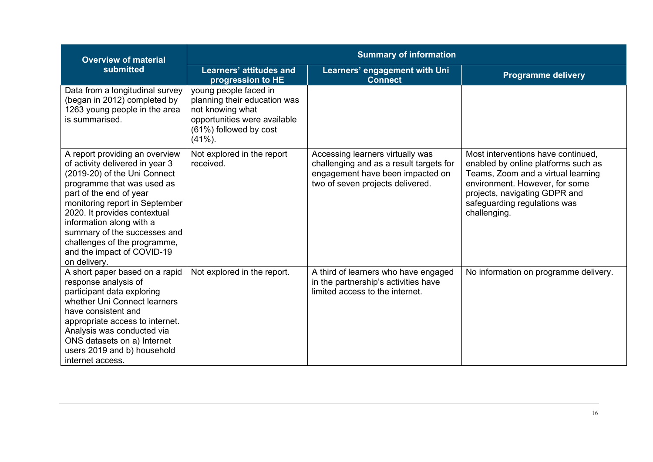| <b>Overview of material</b>                                                                                                                                                                                                                                                                                                                                            | <b>Summary of information</b>                                                                                                                     |                                                                                                                                                     |                                                                                                                                                                                                                                    |  |
|------------------------------------------------------------------------------------------------------------------------------------------------------------------------------------------------------------------------------------------------------------------------------------------------------------------------------------------------------------------------|---------------------------------------------------------------------------------------------------------------------------------------------------|-----------------------------------------------------------------------------------------------------------------------------------------------------|------------------------------------------------------------------------------------------------------------------------------------------------------------------------------------------------------------------------------------|--|
| submitted                                                                                                                                                                                                                                                                                                                                                              | <b>Learners' attitudes and</b><br>progression to HE                                                                                               | Learners' engagement with Uni<br><b>Connect</b>                                                                                                     | <b>Programme delivery</b>                                                                                                                                                                                                          |  |
| Data from a longitudinal survey<br>(began in 2012) completed by<br>1263 young people in the area<br>is summarised.                                                                                                                                                                                                                                                     | young people faced in<br>planning their education was<br>not knowing what<br>opportunities were available<br>(61%) followed by cost<br>$(41\%)$ . |                                                                                                                                                     |                                                                                                                                                                                                                                    |  |
| A report providing an overview<br>of activity delivered in year 3<br>(2019-20) of the Uni Connect<br>programme that was used as<br>part of the end of year<br>monitoring report in September<br>2020. It provides contextual<br>information along with a<br>summary of the successes and<br>challenges of the programme,<br>and the impact of COVID-19<br>on delivery. | Not explored in the report<br>received.                                                                                                           | Accessing learners virtually was<br>challenging and as a result targets for<br>engagement have been impacted on<br>two of seven projects delivered. | Most interventions have continued,<br>enabled by online platforms such as<br>Teams, Zoom and a virtual learning<br>environment. However, for some<br>projects, navigating GDPR and<br>safeguarding regulations was<br>challenging. |  |
| A short paper based on a rapid<br>response analysis of<br>participant data exploring<br>whether Uni Connect learners<br>have consistent and<br>appropriate access to internet.<br>Analysis was conducted via<br>ONS datasets on a) Internet<br>users 2019 and b) household<br>internet access.                                                                         | Not explored in the report.                                                                                                                       | A third of learners who have engaged<br>in the partnership's activities have<br>limited access to the internet.                                     | No information on programme delivery.                                                                                                                                                                                              |  |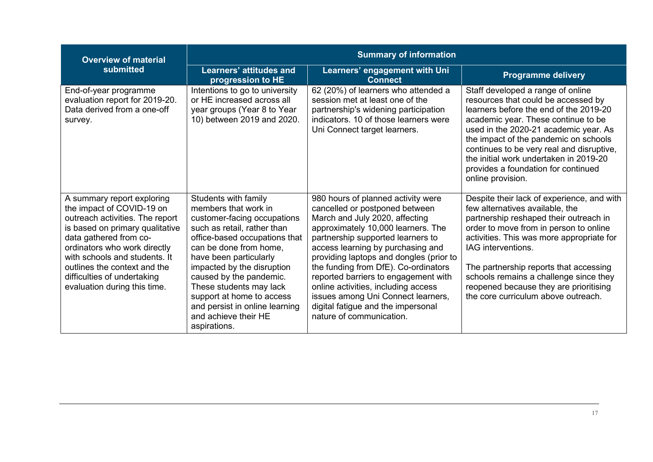| <b>Overview of material</b>                                                                                                                                                                                                                                                                                             | <b>Summary of information</b>                                                                                                                                                                                                                                                                                                                                                              |                                                                                                                                                                                                                                                                                                                                                                                                                                                                                                  |                                                                                                                                                                                                                                                                                                                                                                                                           |
|-------------------------------------------------------------------------------------------------------------------------------------------------------------------------------------------------------------------------------------------------------------------------------------------------------------------------|--------------------------------------------------------------------------------------------------------------------------------------------------------------------------------------------------------------------------------------------------------------------------------------------------------------------------------------------------------------------------------------------|--------------------------------------------------------------------------------------------------------------------------------------------------------------------------------------------------------------------------------------------------------------------------------------------------------------------------------------------------------------------------------------------------------------------------------------------------------------------------------------------------|-----------------------------------------------------------------------------------------------------------------------------------------------------------------------------------------------------------------------------------------------------------------------------------------------------------------------------------------------------------------------------------------------------------|
| submitted                                                                                                                                                                                                                                                                                                               | <b>Learners' attitudes and</b><br>progression to HE                                                                                                                                                                                                                                                                                                                                        | Learners' engagement with Uni<br><b>Connect</b>                                                                                                                                                                                                                                                                                                                                                                                                                                                  | <b>Programme delivery</b>                                                                                                                                                                                                                                                                                                                                                                                 |
| End-of-year programme<br>evaluation report for 2019-20.<br>Data derived from a one-off<br>survey.                                                                                                                                                                                                                       | Intentions to go to university<br>or HE increased across all<br>year groups (Year 8 to Year<br>10) between 2019 and 2020.                                                                                                                                                                                                                                                                  | 62 (20%) of learners who attended a<br>session met at least one of the<br>partnership's widening participation<br>indicators. 10 of those learners were<br>Uni Connect target learners.                                                                                                                                                                                                                                                                                                          | Staff developed a range of online<br>resources that could be accessed by<br>learners before the end of the 2019-20<br>academic year. These continue to be<br>used in the 2020-21 academic year. As<br>the impact of the pandemic on schools<br>continues to be very real and disruptive,<br>the initial work undertaken in 2019-20<br>provides a foundation for continued<br>online provision.            |
| A summary report exploring<br>the impact of COVID-19 on<br>outreach activities. The report<br>is based on primary qualitative<br>data gathered from co-<br>ordinators who work directly<br>with schools and students. It<br>outlines the context and the<br>difficulties of undertaking<br>evaluation during this time. | Students with family<br>members that work in<br>customer-facing occupations<br>such as retail, rather than<br>office-based occupations that<br>can be done from home,<br>have been particularly<br>impacted by the disruption<br>caused by the pandemic.<br>These students may lack<br>support at home to access<br>and persist in online learning<br>and achieve their HE<br>aspirations. | 980 hours of planned activity were<br>cancelled or postponed between<br>March and July 2020, affecting<br>approximately 10,000 learners. The<br>partnership supported learners to<br>access learning by purchasing and<br>providing laptops and dongles (prior to<br>the funding from DfE). Co-ordinators<br>reported barriers to engagement with<br>online activities, including access<br>issues among Uni Connect learners,<br>digital fatigue and the impersonal<br>nature of communication. | Despite their lack of experience, and with<br>few alternatives available, the<br>partnership reshaped their outreach in<br>order to move from in person to online<br>activities. This was more appropriate for<br>IAG interventions.<br>The partnership reports that accessing<br>schools remains a challenge since they<br>reopened because they are prioritising<br>the core curriculum above outreach. |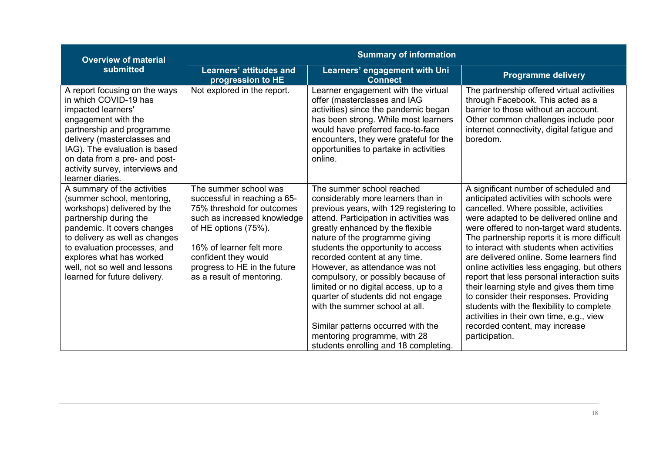| <b>Overview of material</b>                                                                                                                                                                                                                                                                                      | <b>Summary of information</b>                                                                                                                                                                                                                               |                                                                                                                                                                                                                                                                                                                                                                                                                                                                                                                                                                                                            |                                                                                                                                                                                                                                                                                                                                                                                                                                                                                                                                                                                                                                                                                              |
|------------------------------------------------------------------------------------------------------------------------------------------------------------------------------------------------------------------------------------------------------------------------------------------------------------------|-------------------------------------------------------------------------------------------------------------------------------------------------------------------------------------------------------------------------------------------------------------|------------------------------------------------------------------------------------------------------------------------------------------------------------------------------------------------------------------------------------------------------------------------------------------------------------------------------------------------------------------------------------------------------------------------------------------------------------------------------------------------------------------------------------------------------------------------------------------------------------|----------------------------------------------------------------------------------------------------------------------------------------------------------------------------------------------------------------------------------------------------------------------------------------------------------------------------------------------------------------------------------------------------------------------------------------------------------------------------------------------------------------------------------------------------------------------------------------------------------------------------------------------------------------------------------------------|
| submitted                                                                                                                                                                                                                                                                                                        | <b>Learners' attitudes and</b><br>progression to HE                                                                                                                                                                                                         | Learners' engagement with Uni<br><b>Connect</b>                                                                                                                                                                                                                                                                                                                                                                                                                                                                                                                                                            | <b>Programme delivery</b>                                                                                                                                                                                                                                                                                                                                                                                                                                                                                                                                                                                                                                                                    |
| A report focusing on the ways<br>in which COVID-19 has<br>impacted learners'<br>engagement with the<br>partnership and programme<br>delivery (masterclasses and<br>IAG). The evaluation is based<br>on data from a pre- and post-<br>activity survey, interviews and<br>learner diaries.                         | Not explored in the report.                                                                                                                                                                                                                                 | Learner engagement with the virtual<br>offer (masterclasses and IAG<br>activities) since the pandemic began<br>has been strong. While most learners<br>would have preferred face-to-face<br>encounters, they were grateful for the<br>opportunities to partake in activities<br>online.                                                                                                                                                                                                                                                                                                                    | The partnership offered virtual activities<br>through Facebook. This acted as a<br>barrier to those without an account.<br>Other common challenges include poor<br>internet connectivity, digital fatigue and<br>boredom.                                                                                                                                                                                                                                                                                                                                                                                                                                                                    |
| A summary of the activities<br>(summer school, mentoring,<br>workshops) delivered by the<br>partnership during the<br>pandemic. It covers changes<br>to delivery as well as changes<br>to evaluation processes, and<br>explores what has worked<br>well, not so well and lessons<br>learned for future delivery. | The summer school was<br>successful in reaching a 65-<br>75% threshold for outcomes<br>such as increased knowledge<br>of HE options (75%).<br>16% of learner felt more<br>confident they would<br>progress to HE in the future<br>as a result of mentoring. | The summer school reached<br>considerably more learners than in<br>previous years, with 129 registering to<br>attend. Participation in activities was<br>greatly enhanced by the flexible<br>nature of the programme giving<br>students the opportunity to access<br>recorded content at any time.<br>However, as attendance was not<br>compulsory, or possibly because of<br>limited or no digital access, up to a<br>quarter of students did not engage<br>with the summer school at all.<br>Similar patterns occurred with the<br>mentoring programme, with 28<br>students enrolling and 18 completing. | A significant number of scheduled and<br>anticipated activities with schools were<br>cancelled. Where possible, activities<br>were adapted to be delivered online and<br>were offered to non-target ward students.<br>The partnership reports it is more difficult<br>to interact with students when activities<br>are delivered online. Some learners find<br>online activities less engaging, but others<br>report that less personal interaction suits<br>their learning style and gives them time<br>to consider their responses. Providing<br>students with the flexibility to complete<br>activities in their own time, e.g., view<br>recorded content, may increase<br>participation. |